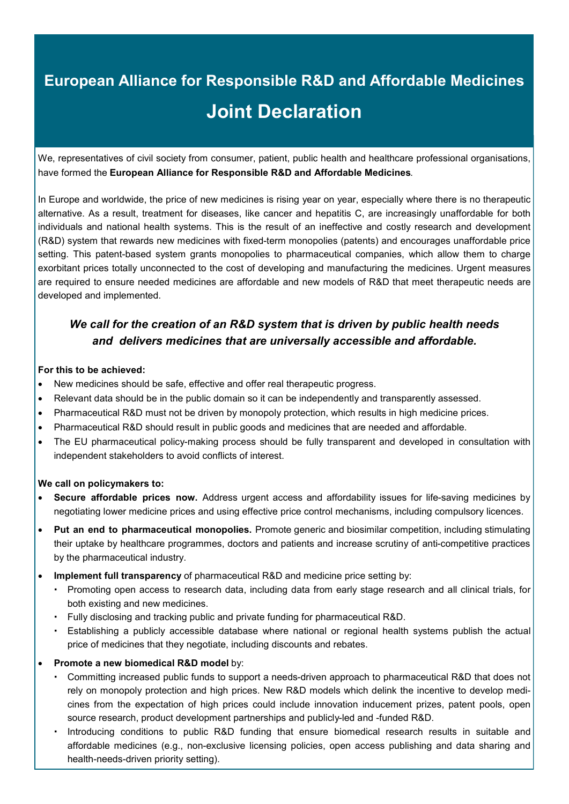## **European Alliance for Responsible R&D and Affordable Medicines Joint Declaration**

We, representatives of civil society from consumer, patient, public health and healthcare professional organisations, have formed the **European Alliance for Responsible R&D and Affordable Medicines**.

In Europe and worldwide, the price of new medicines is rising year on year, especially where there is no therapeutic alternative. As a result, treatment for diseases, like cancer and hepatitis C, are increasingly unaffordable for both individuals and national health systems. This is the result of an ineffective and costly research and development (R&D) system that rewards new medicines with fixed-term monopolies (patents) and encourages unaffordable price setting. This patent-based system grants monopolies to pharmaceutical companies, which allow them to charge exorbitant prices totally unconnected to the cost of developing and manufacturing the medicines. Urgent measures are required to ensure needed medicines are affordable and new models of R&D that meet therapeutic needs are developed and implemented.

## *We call for the creation of an R&D system that is driven by public health needs and delivers medicines that are universally accessible and affordable.*

## **For this to be achieved:**

- New medicines should be safe, effective and offer real therapeutic progress.
- Relevant data should be in the public domain so it can be independently and transparently assessed.
- Pharmaceutical R&D must not be driven by monopoly protection, which results in high medicine prices.
- Pharmaceutical R&D should result in public goods and medicines that are needed and affordable.
- The EU pharmaceutical policy-making process should be fully transparent and developed in consultation with independent stakeholders to avoid conflicts of interest.

## **We call on policymakers to:**

- **Secure affordable prices now.** Address urgent access and affordability issues for life-saving medicines by negotiating lower medicine prices and using effective price control mechanisms, including compulsory licences.
- **Put an end to pharmaceutical monopolies.** Promote generic and biosimilar competition, including stimulating their uptake by healthcare programmes, doctors and patients and increase scrutiny of anti-competitive practices by the pharmaceutical industry.
- **Implement full transparency** of pharmaceutical R&D and medicine price setting by:
	- Promoting open access to research data, including data from early stage research and all clinical trials, for both existing and new medicines.
	- Fully disclosing and tracking public and private funding for pharmaceutical R&D.
	- Establishing a publicly accessible database where national or regional health systems publish the actual price of medicines that they negotiate, including discounts and rebates.
- **Promote a new biomedical R&D model** by:
	- Committing increased public funds to support a needs-driven approach to pharmaceutical R&D that does not rely on monopoly protection and high prices. New R&D models which delink the incentive to develop medicines from the expectation of high prices could include innovation inducement prizes, patent pools, open source research, product development partnerships and publicly-led and -funded R&D.
	- Introducing conditions to public R&D funding that ensure biomedical research results in suitable and affordable medicines (e.g., non-exclusive licensing policies, open access publishing and data sharing and health-needs-driven priority setting).